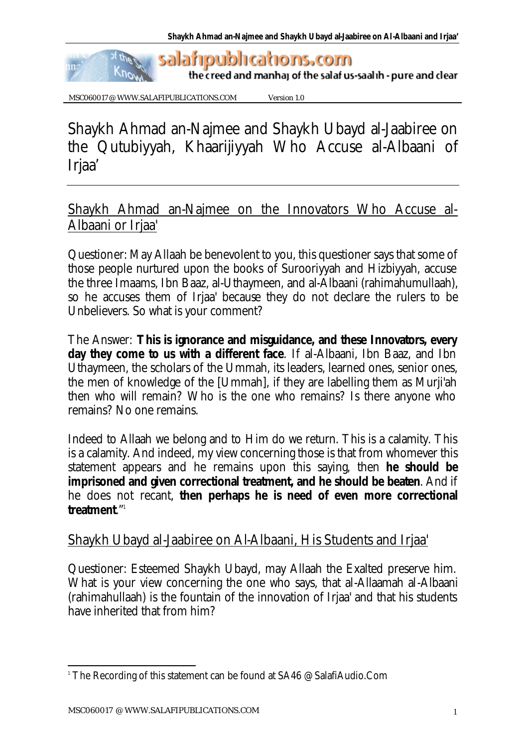

MSC060017 @ WWW.SALAFIPUBLICATIONS.COM Version 1.0

Shaykh Ahmad an-Najmee and Shaykh Ubayd al-Jaabiree on the Qutubiyyah, Khaarijiyyah Who Accuse al-Albaani of Irjaa'

Shaykh Ahmad an-Najmee on the Innovators Who Accuse al-Albaani or Irjaa'

Questioner: May Allaah be benevolent to you, this questioner says that some of those people nurtured upon the books of Surooriyyah and Hizbiyyah, accuse the three Imaams, Ibn Baaz, al-Uthaymeen, and al-Albaani (rahimahumullaah), so he accuses them of Irjaa' because they do not declare the rulers to be Unbelievers. So what is your comment?

The Answer: **This is ignorance and misguidance, and these Innovators, every day they come to us with a different face**. If al-Albaani, Ibn Baaz, and Ibn Uthaymeen, the scholars of the Ummah, its leaders, learned ones, senior ones, the men of knowledge of the [Ummah], if they are labelling them as Murji'ah then who will remain? Who is the one who remains? Is there anyone who remains? No one remains.

Indeed to Allaah we belong and to Him do we return. This is a calamity. This is a calamity. And indeed, my view concerning those is that from whomever this statement appears and he remains upon this saying, then **he should be imprisoned and given correctional treatment, and he should be beaten**. And if he does not recant, **then perhaps he is need of even more correctional treatment**."<sup>1</sup>

## Shaykh Ubayd al-Jaabiree on Al-Albaani, His Students and Irjaa'

Questioner: Esteemed Shaykh Ubayd, may Allaah the Exalted preserve him. What is your view concerning the one who says, that al-Allaamah al-Albaani (rahimahullaah) is the fountain of the innovation of Irjaa' and that his students have inherited that from him?

 $\overline{a}$  $^{\rm \scriptscriptstyle 1}$  The Recording of this statement can be found at SA46 @ SalafiAudio.Com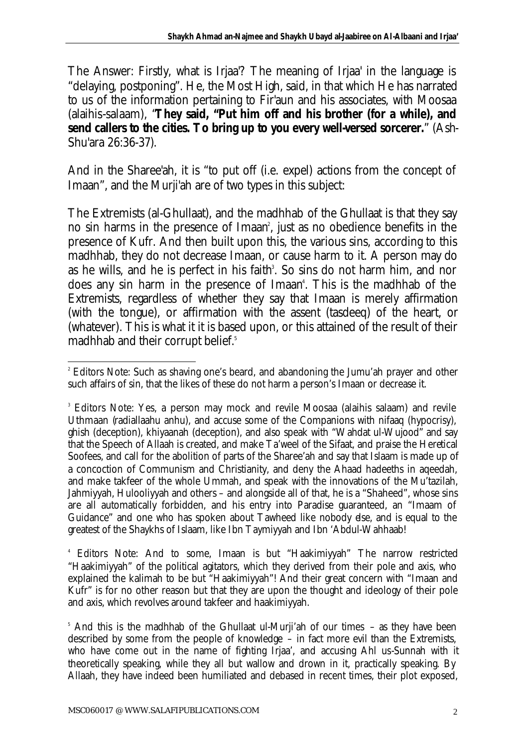The Answer: Firstly, what is Irjaa'? The meaning of Irjaa' in the language is "delaying, postponing". He, the Most High, said, in that which He has narrated to us of the information pertaining to Fir'aun and his associates, with Moosaa (alaihis-salaam), "**They said, "Put him off and his brother (for a while), and send callers to the cities. To bring up to you every well-versed sorcerer.**" (Ash-Shu'ara 26:36-37).

And in the Sharee'ah, it is "to put off (i.e. expel) actions from the concept of Imaan", and the Murji'ah are of two types in this subject:

The Extremists (al-Ghullaat), and the madhhab of the Ghullaat is that they say no sin harms in the presence of Imaan<sup>2</sup>, just as no obedience benefits in the presence of Kufr. And then built upon this, the various sins, according to this madhhab, they do not decrease Imaan, or cause harm to it. A person may do as he wills, and he is perfect in his faith<sup>3</sup>. So sins do not harm him, and nor does any sin harm in the presence of Imaan<sup>4</sup>. This is the madhhab of the Extremists, regardless of whether they say that Imaan is merely affirmation (with the tongue), or affirmation with the assent (tasdeeq) of the heart, or (whatever). This is what it it is based upon, or this attained of the result of their madhhab and their corrupt belief.<sup>5</sup>

4 Editors Note: And to some, Imaan is but "Haakimiyyah" The narrow restricted "Haakimiyyah" of the political agitators, which they derived from their pole and axis, who explained the kalimah to be but "Haakimiyyah"! And their great concern with "Imaan and Kufr" is for no other reason but that they are upon the thought and ideology of their pole and axis, which revolves around takfeer and haakimiyyah.

<sup>5</sup> And this is the madhhab of the Ghullaat ul-Murji'ah of our times – as they have been described by some from the people of knowledge – in fact more evil than the Extremists, who have come out in the name of fighting Irjaa', and accusing Ahl us-Sunnah with it theoretically speaking, while they all but wallow and drown in it, practically speaking. By Allaah, they have indeed been humiliated and debased in recent times, their plot exposed,

l <sup>2</sup> Editors Note: Such as shaving one's beard, and abandoning the Jumu'ah prayer and other such affairs of sin, that the likes of these do not harm a person's Imaan or decrease it.

<sup>&</sup>lt;sup>3</sup> Editors Note: Yes, a person may mock and revile Moosaa (alaihis salaam) and revile Uthmaan (radiallaahu anhu), and accuse some of the Companions with nifaaq (hypocrisy), ghish (deception), khiyaanah (deception), and also speak with "Wahdat ul-Wujood" and say that the Speech of Allaah is created, and make Ta'weel of the Sifaat, and praise the Heretical Soofees, and call for the abolition of parts of the Sharee'ah and say that Islaam is made up of a concoction of Communism and Christianity, and deny the Ahaad hadeeths in aqeedah, and make takfeer of the whole Ummah, and speak with the innovations of the Mu'tazilah, Jahmiyyah, Hulooliyyah and others – and alongside all of that, he is a "Shaheed", whose sins are all automatically forbidden, and his entry into Paradise guaranteed, an "Imaam of Guidance" and one who has spoken about Tawheed like nobody else, and is equal to the greatest of the Shaykhs of Islaam, like Ibn Taymiyyah and Ibn 'Abdul-Wahhaab!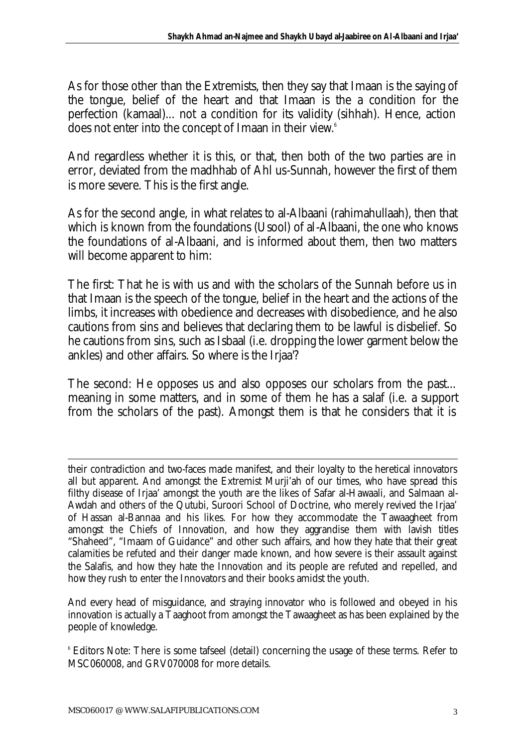As for those other than the Extremists, then they say that Imaan is the saying of the tongue, belief of the heart and that Imaan is the a condition for the perfection (kamaal)... not a condition for its validity (sihhah). Hence, action does not enter into the concept of Imaan in their view.<sup>6</sup>

And regardless whether it is this, or that, then both of the two parties are in error, deviated from the madhhab of Ahl us-Sunnah, however the first of them is more severe. This is the first angle.

As for the second angle, in what relates to al-Albaani (rahimahullaah), then that which is known from the foundations (Usool) of al-Albaani, the one who knows the foundations of al-Albaani, and is informed about them, then two matters will become apparent to him:

The first: That he is with us and with the scholars of the Sunnah before us in that Imaan is the speech of the tongue, belief in the heart and the actions of the limbs, it increases with obedience and decreases with disobedience, and he also cautions from sins and believes that declaring them to be lawful is disbelief. So he cautions from sins, such as Isbaal (i.e. dropping the lower garment below the ankles) and other affairs. So where is the Irjaa'?

The second: He opposes us and also opposes our scholars from the past... meaning in some matters, and in some of them he has a salaf (i.e. a support from the scholars of the past). Amongst them is that he considers that it is

And every head of misguidance, and straying innovator who is followed and obeyed in his innovation is actually a Taaghoot from amongst the Tawaagheet as has been explained by the people of knowledge.

l

their contradiction and two-faces made manifest, and their loyalty to the heretical innovators all but apparent. And amongst the Extremist Murji'ah of our times, who have spread this filthy disease of Irjaa' amongst the youth are the likes of Safar al-Hawaali, and Salmaan al-Awdah and others of the Qutubi, Suroori School of Doctrine, who merely revived the Irjaa' of Hassan al-Bannaa and his likes. For how they accommodate the Tawaagheet from amongst the Chiefs of Innovation, and how they aggrandise them with lavish titles "Shaheed", "Imaam of Guidance" and other such affairs, and how they hate that their great calamities be refuted and their danger made known, and how severe is their assault against the Salafis, and how they hate the Innovation and its people are refuted and repelled, and how they rush to enter the Innovators and their books amidst the youth.

 $^{\circ}$  Editors Note: There is some tafseel (detail) concerning the usage of these terms. Refer to MSC060008, and GRV070008 for more details.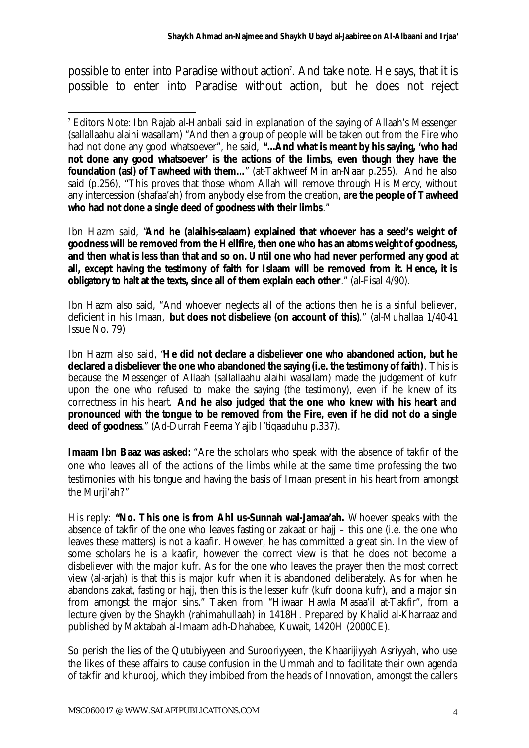possible to enter into Paradise without action'. And take note. He says, that it is possible to enter into Paradise without action, but he does not reject

Ibn Hazm said, "**And he (alaihis-salaam) explained that whoever has a seed's weight of goodness will be removed from the Hellfire, then one who has an atoms weight of goodness, and then what is less than that and so on. Until one who had never performed any good at all, except having the testimony of faith for Islaam will be removed from it. Hence, it is obligatory to halt at the texts, since all of them explain each other**." (al-Fisal 4/90).

Ibn Hazm also said, "And whoever neglects all of the actions then he is a sinful believer, deficient in his Imaan, **but does not disbelieve (on account of this)**." (al-Muhallaa 1/40-41 Issue No. 79)

Ibn Hazm also said, "**He did not declare a disbeliever one who abandoned action, but he declared a disbeliever the one who abandoned the saying (i.e. the testimony of faith)**. This is because the Messenger of Allaah (sallallaahu alaihi wasallam) made the judgement of kufr upon the one who refused to make the saying (the testimony), even if he knew of its correctness in his heart. **And he also judged that the one who knew with his heart and pronounced with the tongue to be removed from the Fire, even if he did not do a single deed of goodness**." (Ad-Durrah Feema Yajib I'tiqaaduhu p.337).

**Imaam Ibn Baaz was asked:** "Are the scholars who speak with the absence of takfir of the one who leaves all of the actions of the limbs while at the same time professing the two testimonies with his tongue and having the basis of Imaan present in his heart from amongst the Murji'ah?"

His reply: **"No. This one is from Ahl us-Sunnah wal-Jamaa'ah.** Whoever speaks with the absence of takfir of the one who leaves fasting or zakaat or hajj – this one (i.e. the one who leaves these matters) is not a kaafir. However, he has committed a great sin. In the view of some scholars he is a kaafir, however the correct view is that he does not become a disbeliever with the major kufr. As for the one who leaves the prayer then the most correct view (al-arjah) is that this is major kufr when it is abandoned deliberately. As for when he abandons zakat, fasting or hajj, then this is the lesser kufr (kufr doona kufr), and a major sin from amongst the major sins." Taken from "Hiwaar Hawla Masaa'il at-Takfir", from a lecture given by the Shaykh (rahimahullaah) in 1418H. Prepared by Khalid al-Kharraaz and published by Maktabah al-Imaam adh-Dhahabee, Kuwait, 1420H (2000CE).

So perish the lies of the Qutubiyyeen and Surooriyyeen, the Khaarijiyyah Asriyyah, who use the likes of these affairs to cause confusion in the Ummah and to facilitate their own agenda of takfir and khurooj, which they imbibed from the heads of Innovation, amongst the callers

l 7 Editors Note: Ibn Rajab al-Hanbali said in explanation of the saying of Allaah's Messenger (sallallaahu alaihi wasallam) "And then a group of people will be taken out from the Fire who had not done any good whatsoever", he said, **"…And what is meant by his saying, 'who had not done any good whatsoever' is the actions of the limbs, even though they have the foundation (asl) of Tawheed with them...**" (at-Takhweef Min an-Naar p.255). And he also said (p.256), "This proves that those whom Allah will remove through His Mercy, without any intercession (shafaa'ah) from anybody else from the creation, **are the people of Tawheed who had not done a single deed of goodness with their limbs**."